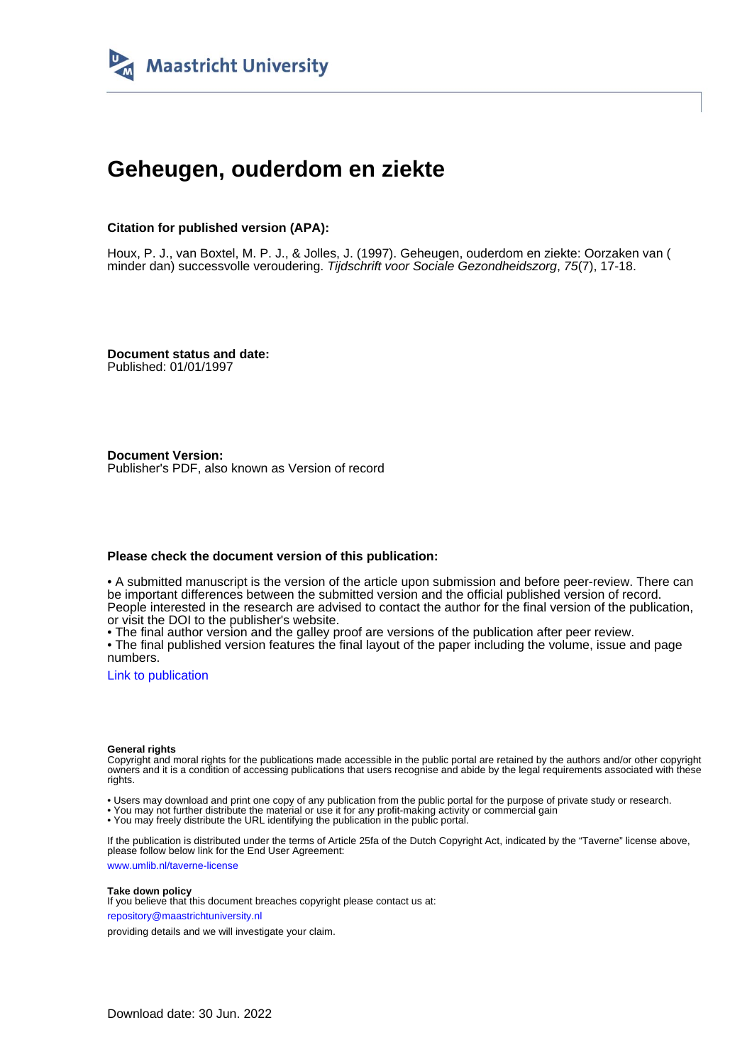

# **Geheugen, ouderdom en ziekte**

#### **Citation for published version (APA):**

Houx, P. J., van Boxtel, M. P. J., & Jolles, J. (1997). Geheugen, ouderdom en ziekte: Oorzaken van ( minder dan) successvolle veroudering. Tijdschrift voor Sociale Gezondheidszorg, 75(7), 17-18.

**Document status and date:** Published: 01/01/1997

**Document Version:** Publisher's PDF, also known as Version of record

#### **Please check the document version of this publication:**

• A submitted manuscript is the version of the article upon submission and before peer-review. There can be important differences between the submitted version and the official published version of record. People interested in the research are advised to contact the author for the final version of the publication, or visit the DOI to the publisher's website.

• The final author version and the galley proof are versions of the publication after peer review.

• The final published version features the final layout of the paper including the volume, issue and page numbers.

[Link to publication](https://cris.maastrichtuniversity.nl/en/publications/88bd69ef-a15a-432f-97c9-edf08e7681a3)

#### **General rights**

Copyright and moral rights for the publications made accessible in the public portal are retained by the authors and/or other copyright owners and it is a condition of accessing publications that users recognise and abide by the legal requirements associated with these rights.

• Users may download and print one copy of any publication from the public portal for the purpose of private study or research.

• You may not further distribute the material or use it for any profit-making activity or commercial gain

• You may freely distribute the URL identifying the publication in the public portal.

If the publication is distributed under the terms of Article 25fa of the Dutch Copyright Act, indicated by the "Taverne" license above, please follow below link for the End User Agreement:

www.umlib.nl/taverne-license

#### **Take down policy**

If you believe that this document breaches copyright please contact us at: repository@maastrichtuniversity.nl

providing details and we will investigate your claim.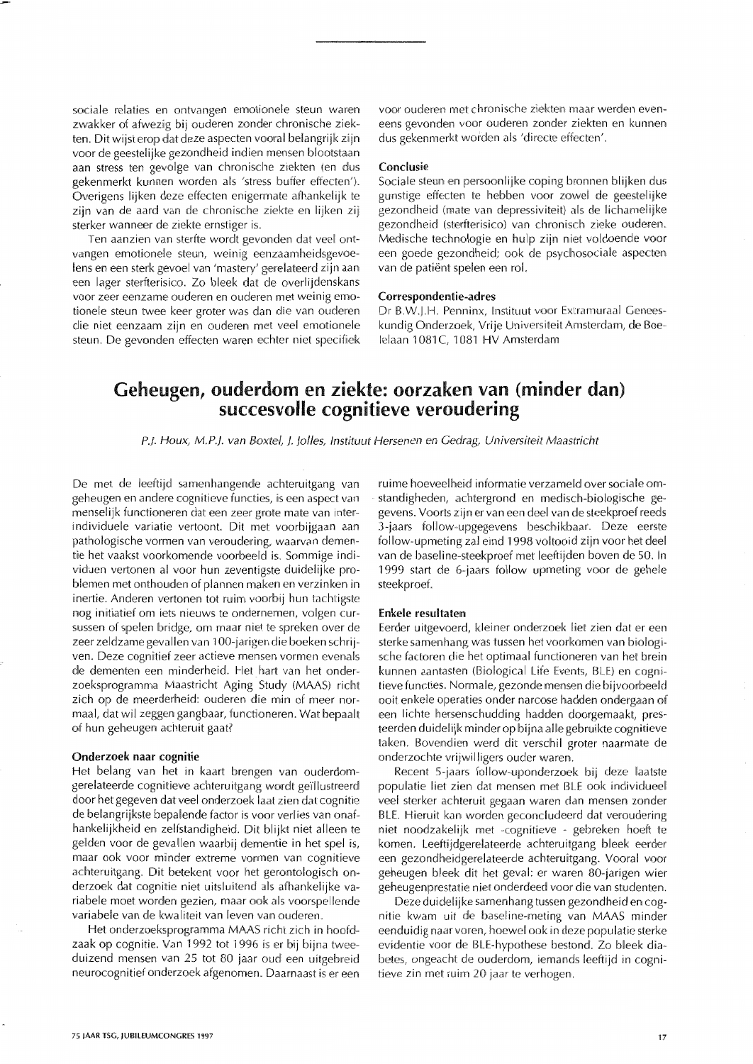sociale relaties en ontvangen emotionele steun waren zwakker of afwezig bij ouderen zonder chronische ziekten. Dit wijst erop dat deze aspecten vooral belangrijk zijn voor de geestelijke gezondheid indien mensen blootstaan aan stress ten gevolge van chronische ziekten (en dus gekenmerkt kunnen worden als 'stress buffer effecten'). Overigens lijken deze effecten enigermate afhankelijk te zijn van de aard van de chronische ziekte en lijken zij sterker wanneer de ziekte ernstiger is.

Ten aanzien van sterfte wordt gevonden dat veel ontvangen emotionele steun, weinig eenzaamheidsgevoelens en een sterk gevoel van 'mastery' gerelateerd zijn aan een lager sterfterisico. Zo bleek dat de overlijdenskans voor zeer eenzame ouderen en ouderen met weinig emotionele steun twee keer groter was dan die van ouderen die niet eenzaam zijn en ouderen met veel emotionele steun. De gevonden effecten waren echter niet specifiek

voor ouderen met chronische ziekten maar werden eveneens gevonden voor ouderen zonder ziekten en kunnen dus gekenmerkt worden als 'directe effecten'.

#### Conclusie

Sociale steun en persoonlijke coping bronnen blijken dus gunstige effecten te hebben voor zowel de geestelijke gezondheid (mate van depressiviteit) als de lichamelijke gezondheid (sterfterisico) van chronisch zieke ouderen. Medische technologie en hulp zijn niet voldoende voor een goede gezondheid; ook de psychosociale aspecten van de patiënt spelen een rol.

#### Correspondentie-adres

Dr B.W.J.H. Penninx, Instituut voor Extramuraal Geneeskundig Onderzoek, Vrije Universiteit Amsterdam, de Boelelaan 1081C. 1081 HV Amsterdam

## Geheugen, ouderdom en ziekte: oorzaken van (minder dan) succesvolle cognitieve veroudering

P.J. Houx, M.P.J. van Boxtel, J. Jolles, Instituut Hersenen en Gedrag, Universiteit Maastricht

De met de leeftijd samenhangende achteruitgang van geheugen en andere cognitieve functies, is een aspect van menselijk functioneren dat een zeer grote mate van interindividuele variatie vertoont. Dit met voorbijgaan aan pathologische vormen van veroudering, waarvan dementie het vaakst voorkomende voorbeeld is. Sommige individuen vertonen al voor hun zeventigste duidelijke problemen met onthouden of plannen maken en verzinken in inertie. Anderen vertonen tot ruim voorbij hun tachtigste nog initiatief om iets nieuws te ondernemen, volgen cursussen of spelen bridge, om maar niet te spreken over de zeer zeldzame gevallen van 100-jarigen die boeken schrijven. Deze cognitief zeer actieve mensen vormen evenals de dementen een minderheid. Het hart van het onderzoeksprogramma Maastricht Aging Study (MAAS) richt zich op de meerderheid: ouderen die min of meer normaal, dat wil zeggen gangbaar, functioneren. Wat bepaalt of hun geheugen achteruit gaat?

#### Onderzoek naar cognitie

Het belang van het in kaart brengen van ouderdomgerelateerde cognitieve achteruitgang wordt geïllustreerd door het gegeven dat veel onderzoek laat zien dat cognitie de belangrijkste bepalende factor is voor verlies van onafhankelijkheid en zelfstandigheid. Dit blijkt niet alleen te gelden voor de gevallen waarbij dementie in het spel is, maar ook voor minder extreme vormen van cognitieve achteruitgang. Dit betekent voor het gerontologisch onderzoek dat cognitie niet uitsluitend als afhankelijke variabele moet worden gezien, maar ook als voorspellende variabele van de kwaliteit van leven van ouderen.

Het onderzoeksprogramma MAAS richt zich in hoofdzaak op cognitie. Van 1992 tot 1996 is er bij bijna tweeduizend mensen van 25 tot 80 jaar oud een uitgebreid neurocognitief onderzoek afgenomen. Daarnaast is er een ruime hoeveelheid informatie verzameld over sociale omstandigheden, achtergrond en medisch-biologische gegevens. Voorts zijn er van een deel van de steekproef reeds 3-jaars follow-upgegevens beschikbaar. Deze eerste follow-upmeting zal eind 1998 voltooid zijn voor het deel van de baseline-steekproef met leeftijden boven de 50. In 1999 start de 6-jaars follow upmeting voor de gehele steekproef.

#### Enkele resultaten

Eerder uitgevoerd, kleiner onderzoek liet zien dat er een sterke samenhang was tussen het voorkomen van biologische factoren die het optimaal functioneren van het brein kunnen aantasten (Biological Life Events, BLE) en cognitieve functies. Normale, gezonde mensen die bijvoorbeeld ooit enkele operaties onder narcose hadden ondergaan of een lichte hersenschudding hadden doorgemaakt, presteerden duidelijk minder op bijna alle gebruikte cognitieve taken. Bovendien werd dit verschil groter naarmate de onderzochte vrijwilligers ouder waren.

Recent 5-jaars follow-uponderzoek bij deze laatste populatie liet zien dat mensen met BLE ook individueel veel sterker achteruit gegaan waren dan mensen zonder BLE. Hieruit kan worden geconcludeerd dat veroudering niet noodzakelijk met -cognitieve - gebreken hoeft te komen. Leeftijdgerelateerde achteruitgang bleek eerder een gezondheidgerelateerde achteruitgang. Vooral voor geheugen bleek dit het geval: er waren 80-jarigen wier geheugenprestatie niet onderdeed voor die van studenten.

Deze duidelijke samenhang tussen gezondheid en cognitie kwam uit de baseline-meting van MAAS minder eenduidig naar voren, hoewel ook in deze populatie sterke evidentie voor de BLE-hypothese bestond. Zo bleek diabetes, ongeacht de ouderdom, iemands leeftijd in cognitieve zin met ruim 20 jaar te verhogen.